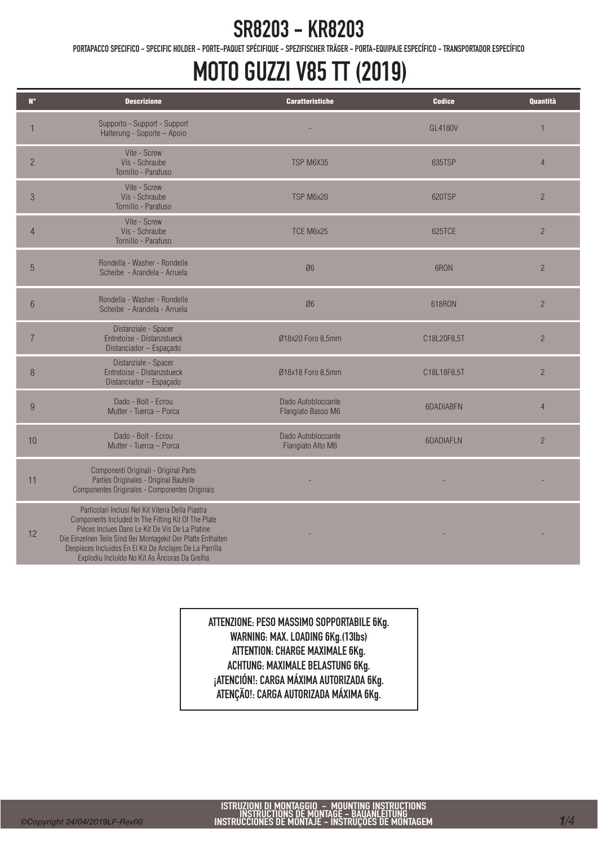PORTAPACCO SPECIFICO - SPECIFIC HOLDER - PORTE-PAQUET SPÉCIFIQUE - SPEZIFISCHER TRÄGER - PORTA-EQUIPAJE ESPECÍFICO - TRANSPORTADOR ESPECÍFICO

# MOTO GUZZI V85 TT (2019)

| $N^{\circ}$    | <b>Descrizione</b>                                                                                                                                                                                                                                                                                                                       | <b>Caratteristiche</b>                   | <b>Codice</b>  | <b>Quantità</b> |
|----------------|------------------------------------------------------------------------------------------------------------------------------------------------------------------------------------------------------------------------------------------------------------------------------------------------------------------------------------------|------------------------------------------|----------------|-----------------|
|                | Supporto - Support - Support<br>Halterung - Soporte - Apoio                                                                                                                                                                                                                                                                              |                                          | <b>GL4180V</b> | $\mathbf{1}$    |
| $\overline{2}$ | Vite - Screw<br>Vis - Schraube<br>Tornillo - Parafuso                                                                                                                                                                                                                                                                                    | TSP M6X35                                | 635TSP         | $\overline{4}$  |
| $\mathcal{S}$  | Vite - Screw<br>Vis - Schraube<br>Tornillo - Parafuso                                                                                                                                                                                                                                                                                    | TSP M6x20                                | 620TSP         | $\overline{2}$  |
| $\overline{4}$ | Vite - Screw<br>Vis - Schraube<br>Tornillo - Parafuso                                                                                                                                                                                                                                                                                    | TCE M6x25                                | 625TCE         | $\overline{2}$  |
| 5              | Rondella - Washer - Rondelle<br>Scheibe - Arandela - Arruela                                                                                                                                                                                                                                                                             | Ø6                                       | 6RON           | $\overline{2}$  |
| 6              | Rondella - Washer - Rondelle<br>Scheibe - Arandela - Arruela                                                                                                                                                                                                                                                                             | Ø6                                       | 618RON         | $\overline{2}$  |
| $\overline{7}$ | Distanziale - Spacer<br>Entretoise - Distanzstueck<br>Distanciador - Espaçado                                                                                                                                                                                                                                                            | Ø18x20 Foro 8,5mm                        | C18L20F8,5T    | $\overline{2}$  |
| 8              | Distanziale - Spacer<br>Entretoise - Distanzstueck<br>Distanciador - Espaçado                                                                                                                                                                                                                                                            | Ø18x18 Foro 8,5mm                        | C18L18F8,5T    | $\overline{2}$  |
| 9              | Dado - Bolt - Ecrou<br>Mutter - Tuerca - Porca                                                                                                                                                                                                                                                                                           | Dado Autobloccante<br>Flangiato Basso M6 | 6DADIABFN      | $\overline{4}$  |
| 10             | Dado - Bolt - Ecrou<br>Mutter - Tuerca - Porca                                                                                                                                                                                                                                                                                           | Dado Autobloccante<br>Flangiato Alto M6  | 6DADIAFLN      | $\overline{2}$  |
| 11             | Componenti Originali - Original Parts<br>Parties Originales - Original Bauteile<br>Componentes Originales - Componentes Originais                                                                                                                                                                                                        |                                          |                |                 |
| 12             | Particolari Inclusi Nel Kit Viteria Della Piastra<br>Components Included In The Fitting Kit Of The Plate<br>Pièces Inclues Dans Le Kit De Vis De La Platine<br>Die Einzelnen Teile Sind Bei Montagekit Der Platte Enthalten<br>Despieces Incluidos En El Kit De Anclajes De La Parrilla<br>Explodiu Incluído No Kit As Âncoras Da Grelha |                                          |                |                 |

ATTENZIONE: PESO MASSIMO SOPPORTABILE 6Kg. WARNING: MAX. LOADING 6Kg.(13lbs) ATTENTION: CHARGE MAXIMALE 6Kg. ACHTUNG: MAXIMALE BELASTUNG 6Kg. ¡ATENCIÓN!: CARGA MÁXIMA AUTORIZADA 6Kg. ATENÇÃO!: CARGA AUTORIZADA MÁXIMA 6Kg.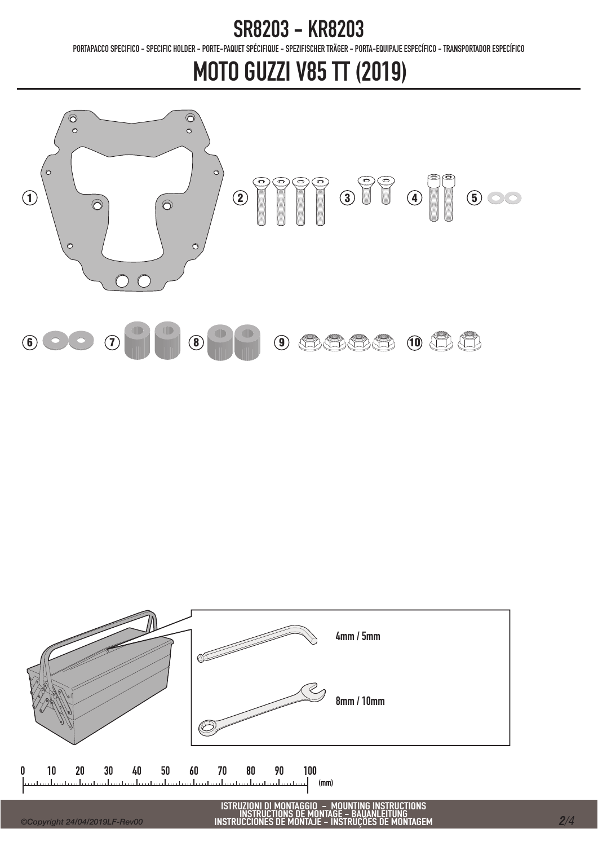PORTAPACCO SPECIFICO - SPECIFIC HOLDER - PORTE-PAQUET SPÉCIFIQUE - SPEZIFISCHER TRÄGER - PORTA-EQUIPAJE ESPECÍFICO - TRANSPORTADOR ESPECÍFICO

# MOTO GUZZI V85 TT (2019)



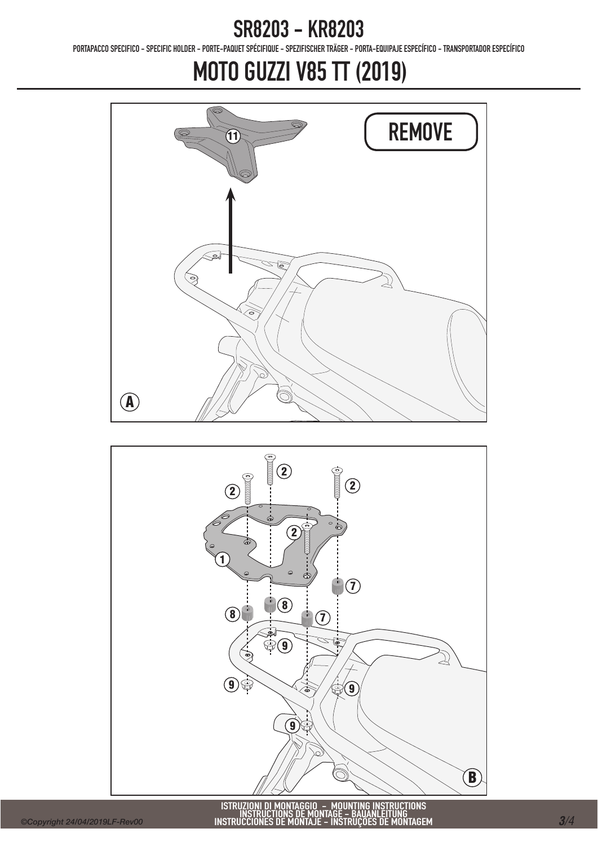PORTAPACCO SPECIFICO - SPECIFIC HOLDER - PORTE-PAQUET SPÉCIFIQUE - SPEZIFISCHER TRÄGER - PORTA-EQUIPAJE ESPECÍFICO - TRANSPORTADOR ESPECÍFICO

# MOTO GUZZI V85 TT (2019)





ISTRUZIONI DI MONTAGGIO – MOUNTING INSTRUCTIONS<br>INSTRUCTIONS DE MONTAGE – BAUANLEITUNG<br>INSTRUCCIONES DE MONTAJE – INSTRUÇÕES DE MONTAGEM